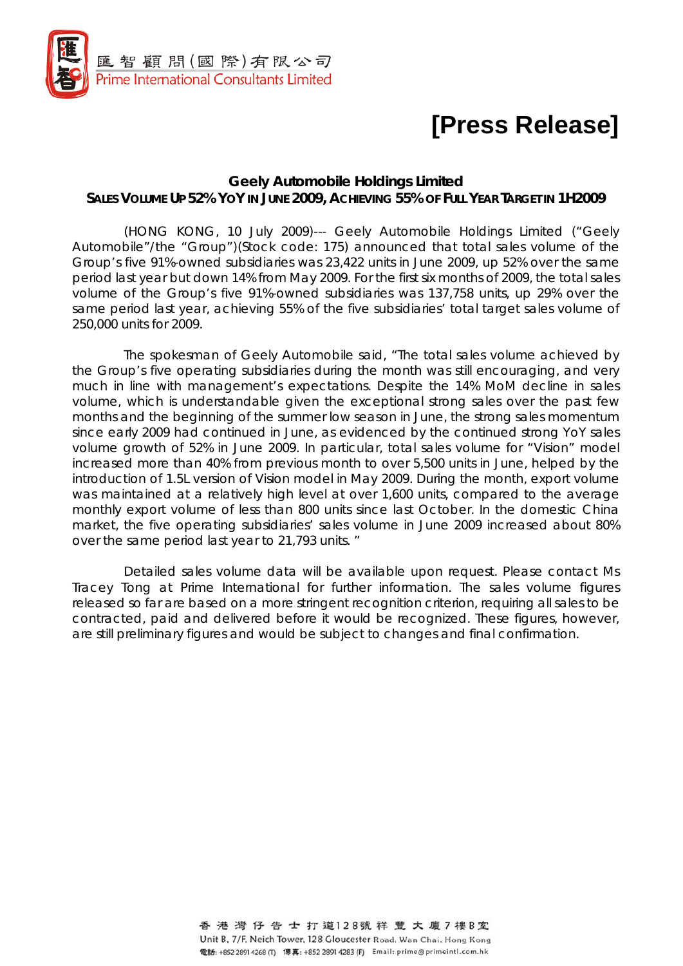

## **[Press Release]**

## **Geely Automobile Holdings Limited SALES VOLUME UP 52% YOY IN JUNE 2009, ACHIEVING 55% OF FULL YEAR TARGET IN 1H2009**

(HONG KONG, 10 July 2009)--- Geely Automobile Holdings Limited ("Geely Automobile"/the "Group")(Stock code: 175) announced that total sales volume of the Group's five 91%-owned subsidiaries was 23,422 units in June 2009, up 52% over the same period last year but down 14% from May 2009. For the first six months of 2009, the total sales volume of the Group's five 91%-owned subsidiaries was 137,758 units, up 29% over the same period last year, achieving 55% of the five subsidiaries' total target sales volume of 250,000 units for 2009.

The spokesman of Geely Automobile said, "The total sales volume achieved by the Group's five operating subsidiaries during the month was still encouraging, and very much in line with management's expectations. Despite the 14% MoM decline in sales volume, which is understandable given the exceptional strong sales over the past few months and the beginning of the summer low season in June, the strong sales momentum since early 2009 had continued in June, as evidenced by the continued strong YoY sales volume growth of 52% in June 2009. In particular, total sales volume for "Vision" model increased more than 40% from previous month to over 5,500 units in June, helped by the introduction of 1.5L version of Vision model in May 2009. During the month, export volume was maintained at a relatively high level at over 1,600 units, compared to the average monthly export volume of less than 800 units since last October. In the domestic China market, the five operating subsidiaries' sales volume in June 2009 increased about 80% over the same period last year to 21,793 units. "

Detailed sales volume data will be available upon request. Please contact Ms Tracey Tong at Prime International for further information. The sales volume figures released so far are based on a more stringent recognition criterion, requiring all sales to be contracted, paid and delivered before it would be recognized. These figures, however, are still preliminary figures and would be subject to changes and final confirmation.